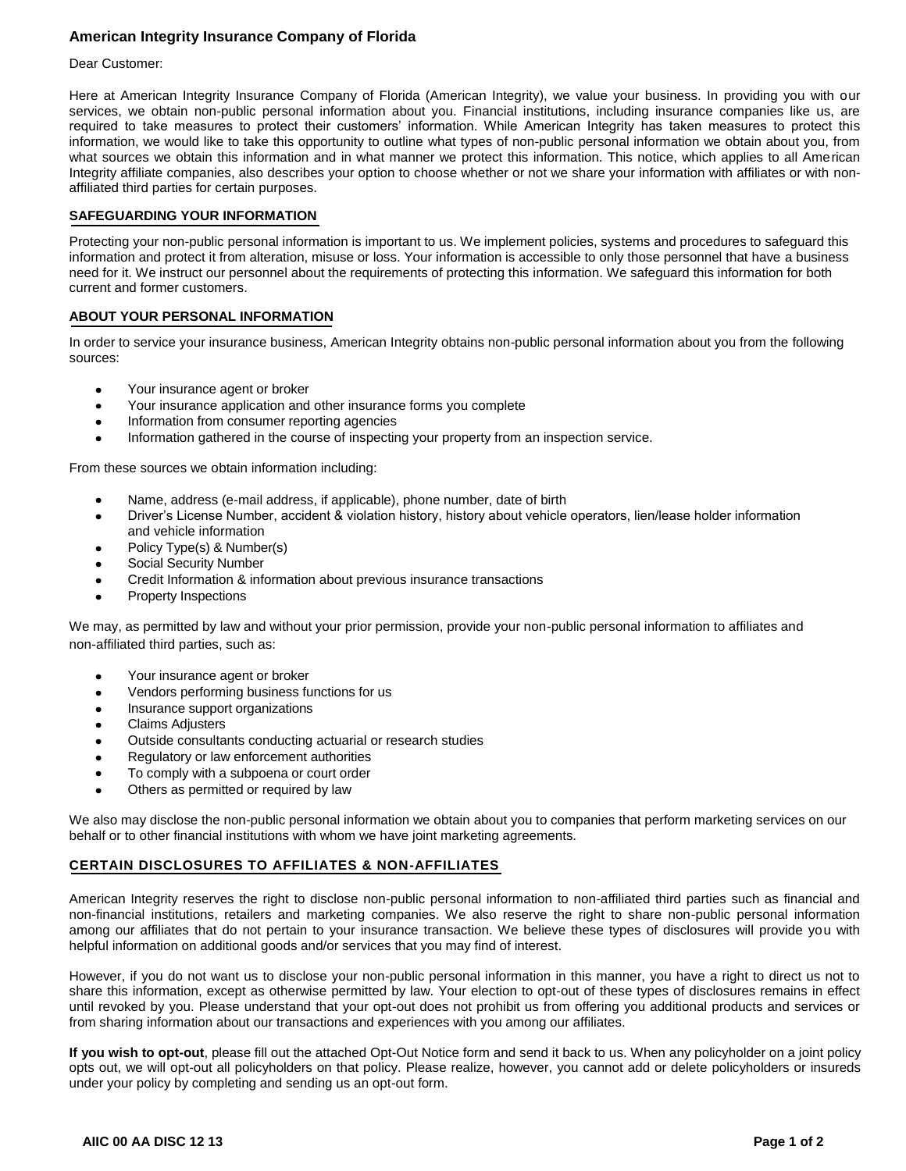# **American Integrity Insurance Company of Florida**

#### Dear Customer:

Here at American Integrity Insurance Company of Florida (American Integrity), we value your business. In providing you with our services, we obtain non-public personal information about you. Financial institutions, including insurance companies like us, are required to take measures to protect their customers' information. While American Integrity has taken measures to protect this information, we would like to take this opportunity to outline what types of non-public personal information we obtain about you, from what sources we obtain this information and in what manner we protect this information. This notice, which applies to all American Integrity affiliate companies, also describes your option to choose whether or not we share your information with affiliates or with nonaffiliated third parties for certain purposes.

## **SAFEGUARDING YOUR INFORMATION**

Protecting your non-public personal information is important to us. We implement policies, systems and procedures to safeguard this information and protect it from alteration, misuse or loss. Your information is accessible to only those personnel that have a business need for it. We instruct our personnel about the requirements of protecting this information. We safeguard this information for both current and former customers.

### **ABOUT YOUR PERSONAL INFORMATION**

In order to service your insurance business, American Integrity obtains non-public personal information about you from the following sources:

- Your insurance agent or broker
- Your insurance application and other insurance forms you complete  $\bullet$
- Information from consumer reporting agencies  $\bullet$
- $\bullet$ Information gathered in the course of inspecting your property from an inspection service.

From these sources we obtain information including:

- Name, address (e-mail address, if applicable), phone number, date of birth
- Driver's License Number, accident & violation history, history about vehicle operators, lien/lease holder information  $\bullet$ and vehicle information
- Policy Type(s) & Number(s)  $\bullet$
- Social Security Number  $\bullet$
- Credit Information & information about previous insurance transactions
- Property Inspections

We may, as permitted by law and without your prior permission, provide your non-public personal information to affiliates and non-affiliated third parties, such as:

- Your insurance agent or broker  $\bullet$
- Vendors performing business functions for us  $\bullet$
- Insurance support organizations  $\bullet$
- Claims Adjusters
- Outside consultants conducting actuarial or research studies
- Regulatory or law enforcement authorities
- To comply with a subpoena or court order  $\bullet$
- Others as permitted or required by law

We also may disclose the non-public personal information we obtain about you to companies that perform marketing services on our behalf or to other financial institutions with whom we have joint marketing agreements.

## **CERTAIN DISCLOSURES TO AFFILIATES & NON-AFFILIATES**

American Integrity reserves the right to disclose non-public personal information to non-affiliated third parties such as financial and non-financial institutions, retailers and marketing companies. We also reserve the right to share non-public personal information among our affiliates that do not pertain to your insurance transaction. We believe these types of disclosures will provide you with helpful information on additional goods and/or services that you may find of interest.

However, if you do not want us to disclose your non-public personal information in this manner, you have a right to direct us not to share this information, except as otherwise permitted by law. Your election to opt-out of these types of disclosures remains in effect until revoked by you. Please understand that your opt-out does not prohibit us from offering you additional products and services or from sharing information about our transactions and experiences with you among our affiliates.

**If you wish to opt-out**, please fill out the attached Opt-Out Notice form and send it back to us. When any policyholder on a joint policy opts out, we will opt-out all policyholders on that policy. Please realize, however, you cannot add or delete policyholders or insureds under your policy by completing and sending us an opt-out form.